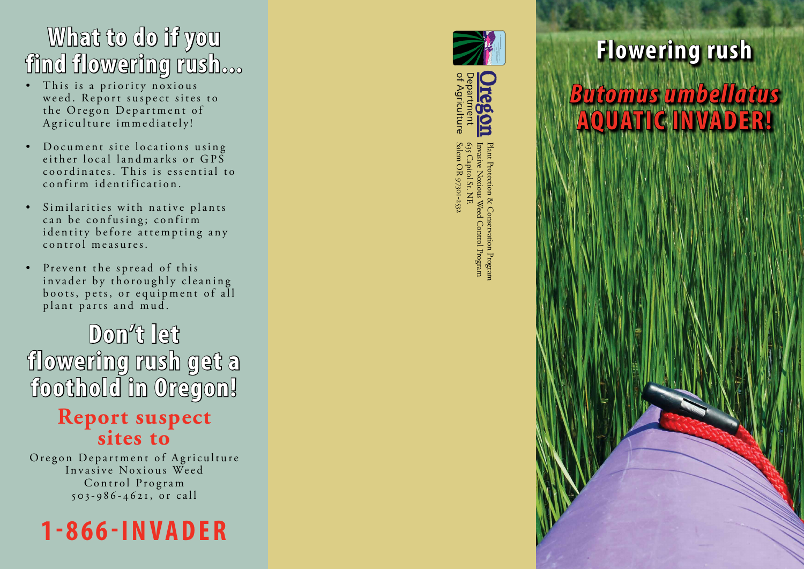#### **What to do if you find flowering rush...**

- This is a priority noxious weed. Report suspect sites to the Oregon Department of Agriculture immediately!
- Document site locations using either local landmarks or  $GP\overline{S}$ coordinates. This is essential to confirm identification.
- Similarities with native plants can be confusing; confirm identity before attempting any control measures.
- Prevent the spread of this invader by thoroughly cleaning boots, pets, or equipment of all plant parts and mud.

**Don't let flowering rush get a foothold in Oregon!**

#### **Report suspect sites to**

Oregon Department of Agriculture Invasive Noxious Weed Control Program  $503 - 986 - 4621$ , or call







Plant Protection & Conservation Program<br>Invasive Noxious Weed Control Program<br>655 Capitol St. NE Salem OR 97301-2532 635 Capitol St. NE Invasive Noxious Weed Control Program Plant Protection & Conservation ProgramSalem OR 97301-253

## **Flowering rush**  *Butomus umbellatus*  **AQUATIC INVADER!**